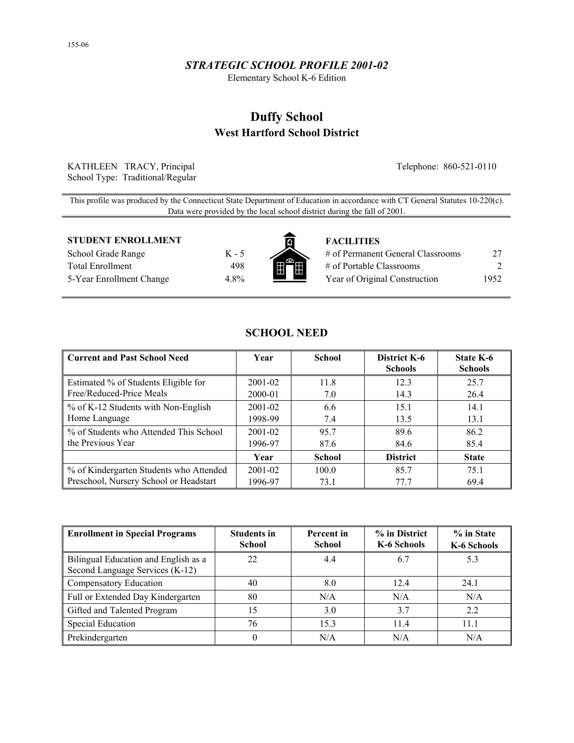# *STRATEGIC SCHOOL PROFILE 2001-02*

Elementary School K-6 Edition

# **Duffy School West Hartford School District**

KATHLEEN TRACY, Principal Telephone: 860-521-0110 School Type: Traditional/Regular

This profile was produced by the Connecticut State Department of Education in accordance with CT General Statutes 10-220(c). Data were provided by the local school district during the fall of 2001.

## **STUDENT ENROLLMENT FACILITIES**

School Grade Range K - 5 Total Enrollment 498 5-Year Enrollment Change 4.8%



| # of Permanent General Classrooms | 27   |
|-----------------------------------|------|
| # of Portable Classrooms          |      |
| Year of Original Construction     | 1952 |

| <b>Current and Past School Need</b>     | Year        | <b>School</b> | District K-6<br><b>Schools</b> | State K-6<br><b>Schools</b> |
|-----------------------------------------|-------------|---------------|--------------------------------|-----------------------------|
| Estimated % of Students Eligible for    | 2001-02     | 11.8          | 12.3                           | 25.7                        |
| Free/Reduced-Price Meals                | 2000-01     | 7.0           | 14.3                           | 26.4                        |
| % of K-12 Students with Non-English     | $2001 - 02$ | 6.6           | 15.1                           | 14.1                        |
| Home Language                           | 1998-99     | 7.4           | 13.5                           | 13.1                        |
| % of Students who Attended This School  | 2001-02     | 95.7          | 89.6                           | 86.2                        |
| the Previous Year                       | 1996-97     | 87.6          | 84.6                           | 85.4                        |
|                                         | Year        | <b>School</b> | <b>District</b>                | <b>State</b>                |
| % of Kindergarten Students who Attended | $2001 - 02$ | 100.0         | 85.7                           | 75.1                        |
| Preschool, Nursery School or Headstart  | 1996-97     | 73.1          | 77.7                           | 69.4                        |

| <b>Enrollment in Special Programs</b>                                   | <b>Students in</b><br><b>School</b> | Percent in<br><b>School</b> | % in District<br>K-6 Schools | % in State<br>K-6 Schools |
|-------------------------------------------------------------------------|-------------------------------------|-----------------------------|------------------------------|---------------------------|
| Bilingual Education and English as a<br>Second Language Services (K-12) | 22                                  | 4.4                         | 6.7                          | 5.3                       |
| Compensatory Education                                                  | 40                                  | 8.0                         | 12.4                         | 24.1                      |
| Full or Extended Day Kindergarten                                       | 80                                  | N/A                         | N/A                          | N/A                       |
| Gifted and Talented Program                                             | 15                                  | 3.0                         | 37                           | 2.2                       |
| <b>Special Education</b>                                                | 76                                  | 15.3                        | 11.4                         | 11.1                      |
| Prekindergarten                                                         |                                     | N/A                         | N/A                          | N/A                       |

**SCHOOL NEED**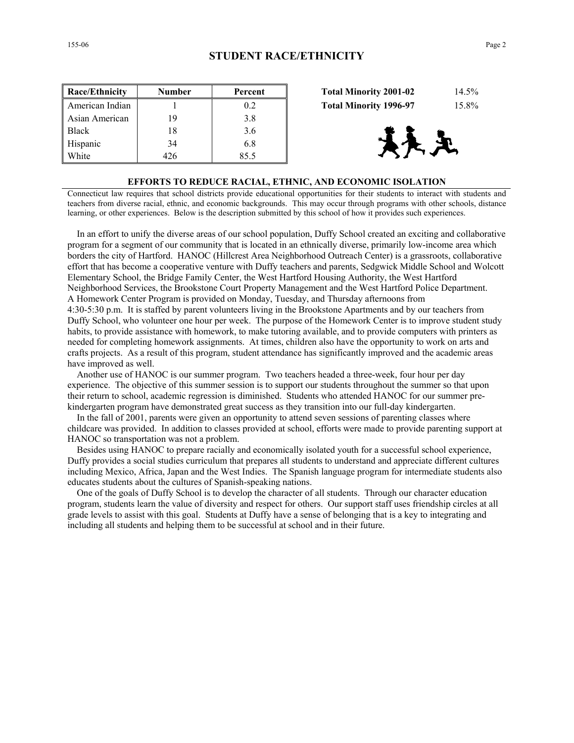| <b>Race/Ethnicity</b> | Number | Percent | 14.5%<br><b>Total Minority 2001-02</b> |
|-----------------------|--------|---------|----------------------------------------|
| American Indian       |        | 0.2     | 15.8%<br><b>Total Minority 1996-97</b> |
| Asian American        | 19     | 3.8     |                                        |
| <b>Black</b>          | 18     | 3.6     |                                        |
| Hispanic              | 34     | 6.8     | 大卫                                     |
| White                 | 426    | 85.5    |                                        |

| <b>Total Minority 2001-02</b> | 14.5% |
|-------------------------------|-------|
| <b>Total Minority 1996-97</b> | 15.8% |



### **EFFORTS TO REDUCE RACIAL, ETHNIC, AND ECONOMIC ISOLATION**

Connecticut law requires that school districts provide educational opportunities for their students to interact with students and teachers from diverse racial, ethnic, and economic backgrounds. This may occur through programs with other schools, distance learning, or other experiences. Below is the description submitted by this school of how it provides such experiences.

 In an effort to unify the diverse areas of our school population, Duffy School created an exciting and collaborative program for a segment of our community that is located in an ethnically diverse, primarily low-income area which borders the city of Hartford. HANOC (Hillcrest Area Neighborhood Outreach Center) is a grassroots, collaborative effort that has become a cooperative venture with Duffy teachers and parents, Sedgwick Middle School and Wolcott Elementary School, the Bridge Family Center, the West Hartford Housing Authority, the West Hartford Neighborhood Services, the Brookstone Court Property Management and the West Hartford Police Department. A Homework Center Program is provided on Monday, Tuesday, and Thursday afternoons from 4:30-5:30 p.m. It is staffed by parent volunteers living in the Brookstone Apartments and by our teachers from Duffy School, who volunteer one hour per week. The purpose of the Homework Center is to improve student study habits, to provide assistance with homework, to make tutoring available, and to provide computers with printers as needed for completing homework assignments. At times, children also have the opportunity to work on arts and crafts projects. As a result of this program, student attendance has significantly improved and the academic areas have improved as well.

 Another use of HANOC is our summer program. Two teachers headed a three-week, four hour per day experience. The objective of this summer session is to support our students throughout the summer so that upon their return to school, academic regression is diminished. Students who attended HANOC for our summer prekindergarten program have demonstrated great success as they transition into our full-day kindergarten.

 In the fall of 2001, parents were given an opportunity to attend seven sessions of parenting classes where childcare was provided. In addition to classes provided at school, efforts were made to provide parenting support at HANOC so transportation was not a problem.

 Besides using HANOC to prepare racially and economically isolated youth for a successful school experience, Duffy provides a social studies curriculum that prepares all students to understand and appreciate different cultures including Mexico, Africa, Japan and the West Indies. The Spanish language program for intermediate students also educates students about the cultures of Spanish-speaking nations.

 One of the goals of Duffy School is to develop the character of all students. Through our character education program, students learn the value of diversity and respect for others. Our support staff uses friendship circles at all grade levels to assist with this goal. Students at Duffy have a sense of belonging that is a key to integrating and including all students and helping them to be successful at school and in their future.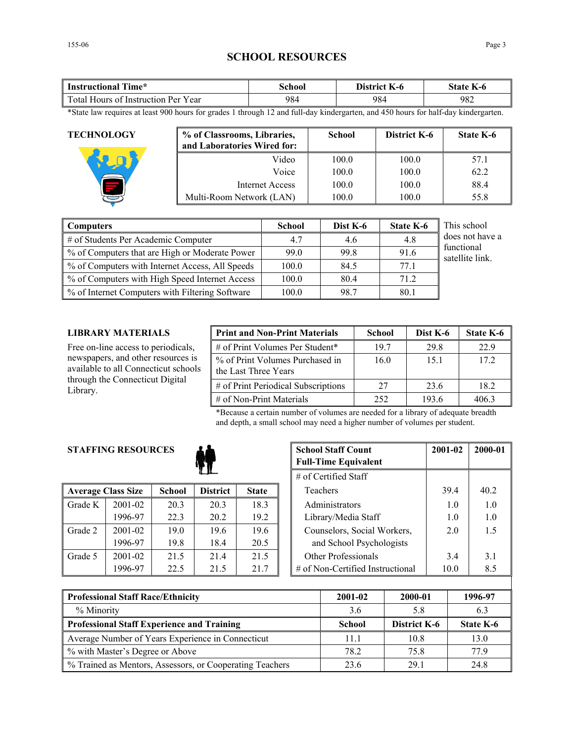# **SCHOOL RESOURCES**

| <b>Instructional Time*</b>          | School | District K-6 | State K-6 |
|-------------------------------------|--------|--------------|-----------|
| Total Hours of Instruction Per Year | 984    | 984          | 982       |

\*State law requires at least 900 hours for grades 1 through 12 and full-day kindergarten, and 450 hours for half-day kindergarten.

| <b>TECHNOLOGY</b> | % of Classrooms, Libraries,<br>and Laboratories Wired for: | <b>School</b> | District K-6 | <b>State K-6</b> |
|-------------------|------------------------------------------------------------|---------------|--------------|------------------|
|                   | Video                                                      | 100.0         | 100.0        | 57.1             |
|                   | Voice                                                      | 100.0         | 100.0        | 62.2             |
|                   | Internet Access                                            | 100.0         | 100.0        | 88.4             |
|                   | Multi-Room Network (LAN)                                   | 100.0         | 100.0        | 55.8             |

| <b>Computers</b>                                | <b>School</b> | Dist K-6 | <b>State K-6</b> | This school                   |
|-------------------------------------------------|---------------|----------|------------------|-------------------------------|
| # of Students Per Academic Computer             | 4.7           | 4.6      | 4.8              | does not have a               |
| % of Computers that are High or Moderate Power  | 99.0          | 99.8     | 91.6             | functional<br>satellite link. |
| % of Computers with Internet Access, All Speeds | 100.0         | 84.5     | 77.1             |                               |
| % of Computers with High Speed Internet Access  | 100.0         | 80.4     | 71.2             |                               |
| % of Internet Computers with Filtering Software | 100.0         | 98.7     | 80.1             |                               |

# **LIBRARY MATERIALS**

Free on-line access to periodicals, newspapers, and other resources is available to all Connecticut schools through the Connecticut Digital Library.

| <b>Print and Non-Print Materials</b>                    | <b>School</b> | Dist K-6 | State K-6 |
|---------------------------------------------------------|---------------|----------|-----------|
| # of Print Volumes Per Student*                         | 19.7          | 29.8     | 22.9      |
| % of Print Volumes Purchased in<br>the Last Three Years | 16.0          | 15.1     | 172       |
| # of Print Periodical Subscriptions                     | 27            | 23.6     | 18.2      |
| $\#$ of Non-Print Materials                             | 252           | 193.6    | 4063      |

\*Because a certain number of volumes are needed for a library of adequate breadth and depth, a small school may need a higher number of volumes per student.

# **STAFFING RESOURCES**



|         | <b>Average Class Size</b> | <b>School</b> | <b>District</b> | <b>State</b> |
|---------|---------------------------|---------------|-----------------|--------------|
| Grade K | $2001 - 02$               | 20.3          | 20.3            | 18.3         |
|         | 1996-97                   | 22.3          | 20.2            | 19.2         |
| Grade 2 | 2001-02                   | 19.0          | 19.6            | 19.6         |
|         | 1996-97                   | 19.8          | 18.4            | 20.5         |
| Grade 5 | 2001-02                   | 21.5          | 21.4            | 21.5         |
|         | 1996-97                   | 22.5          | 21.5            | 21.7         |

| <b>RESOURCES</b> |               | <b>School Staff Count</b><br><b>Full-Time Equivalent</b> | 2001-02                | 2000-01 |                                  |      |      |
|------------------|---------------|----------------------------------------------------------|------------------------|---------|----------------------------------|------|------|
|                  |               |                                                          | $#$ of Certified Staff |         |                                  |      |      |
| ass Size         | <b>School</b> | <b>District</b>                                          | <b>State</b>           |         | Teachers                         | 39.4 | 40.2 |
| 2001-02          | 20.3          | 20.3                                                     | 18.3                   |         | Administrators                   | 1.0  | 1.0  |
| 1996-97          | 22.3          | 20.2                                                     | 19.2                   |         | Library/Media Staff              | 1.0  | 1.0  |
| 2001-02          | 19.0          | 19.6                                                     | 19.6                   |         | Counselors, Social Workers,      | 2.0  | 1.5  |
| 1996-97          | 19.8          | 18.4                                                     | 20.5                   |         | and School Psychologists         |      |      |
| 2001-02          | 21.5          | 21.4                                                     | 21.5                   |         | <b>Other Professionals</b>       | 3.4  | 3.1  |
| 1996-97          | 22.5          | 21.5                                                     | 21.7                   |         | # of Non-Certified Instructional | 10.0 | 8.5  |

| <b>Professional Staff Race/Ethnicity</b>                 | 2001-02       | 2000-01      | 1996-97   |
|----------------------------------------------------------|---------------|--------------|-----------|
| % Minority                                               | 3.6           | 58           | 6.3       |
| <b>Professional Staff Experience and Training</b>        | <b>School</b> | District K-6 | State K-6 |
| Average Number of Years Experience in Connecticut        | 11.1          | 10.8         | 13.0      |
| % with Master's Degree or Above                          | 78.2          | 75.8         | 77 9      |
| % Trained as Mentors, Assessors, or Cooperating Teachers | 23.6          | 29.1         | 24.8      |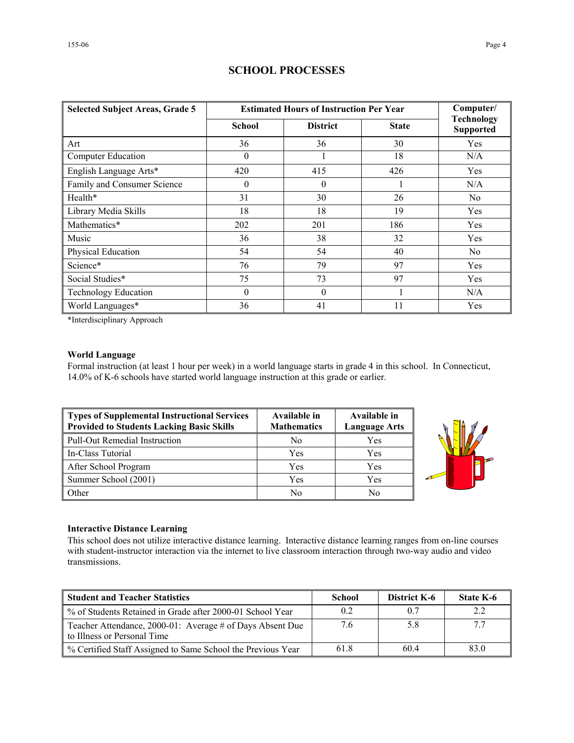| <b>Selected Subject Areas, Grade 5</b> | <b>Estimated Hours of Instruction Per Year</b> | Computer/       |              |                                       |
|----------------------------------------|------------------------------------------------|-----------------|--------------|---------------------------------------|
|                                        | School                                         | <b>District</b> | <b>State</b> | <b>Technology</b><br><b>Supported</b> |
| Art                                    | 36                                             | 36              | 30           | Yes                                   |
| <b>Computer Education</b>              | $\theta$                                       |                 | 18           | N/A                                   |
| English Language Arts*                 | 420                                            | 415             | 426          | Yes                                   |
| Family and Consumer Science            | $\theta$                                       | $\theta$        |              | N/A                                   |
| Health*                                | 31                                             | 30              | 26           | N <sub>0</sub>                        |
| Library Media Skills                   | 18                                             | 18              | 19           | Yes                                   |
| Mathematics*                           | 202                                            | 201             | 186          | Yes                                   |
| Music                                  | 36                                             | 38              | 32           | Yes                                   |
| Physical Education                     | 54                                             | 54              | 40           | N <sub>0</sub>                        |
| Science*                               | 76                                             | 79              | 97           | Yes                                   |
| Social Studies*                        | 75                                             | 73              | 97           | Yes                                   |
| <b>Technology Education</b>            | $\theta$                                       | $\theta$        |              | N/A                                   |
| World Languages*                       | 36                                             | 41              | 11           | Yes                                   |

# **SCHOOL PROCESSES**

\*Interdisciplinary Approach

## **World Language**

Formal instruction (at least 1 hour per week) in a world language starts in grade 4 in this school. In Connecticut, 14.0% of K-6 schools have started world language instruction at this grade or earlier.

| Types of Supplemental Instructional Services<br><b>Provided to Students Lacking Basic Skills</b> | Available in<br><b>Mathematics</b> | Available in<br><b>Language Arts</b> |
|--------------------------------------------------------------------------------------------------|------------------------------------|--------------------------------------|
| Pull-Out Remedial Instruction                                                                    | No                                 | Yes                                  |
| In-Class Tutorial                                                                                | Yes                                | Yes                                  |
| After School Program                                                                             | Yes                                | Yes                                  |
| Summer School (2001)                                                                             | Yes                                | Yes                                  |
| Other                                                                                            | No                                 | No                                   |



## **Interactive Distance Learning**

This school does not utilize interactive distance learning. Interactive distance learning ranges from on-line courses with student-instructor interaction via the internet to live classroom interaction through two-way audio and video transmissions.

| <b>Student and Teacher Statistics</b>                                                    | <b>School</b> | District K-6 | <b>State K-6</b> |
|------------------------------------------------------------------------------------------|---------------|--------------|------------------|
| % of Students Retained in Grade after 2000-01 School Year                                | 0.2           | 0.7          | 2.2              |
| Teacher Attendance, 2000-01: Average # of Days Absent Due<br>to Illness or Personal Time | 7.6           | 5.8          |                  |
| % Certified Staff Assigned to Same School the Previous Year                              | 61.8          | 60.4         | 830              |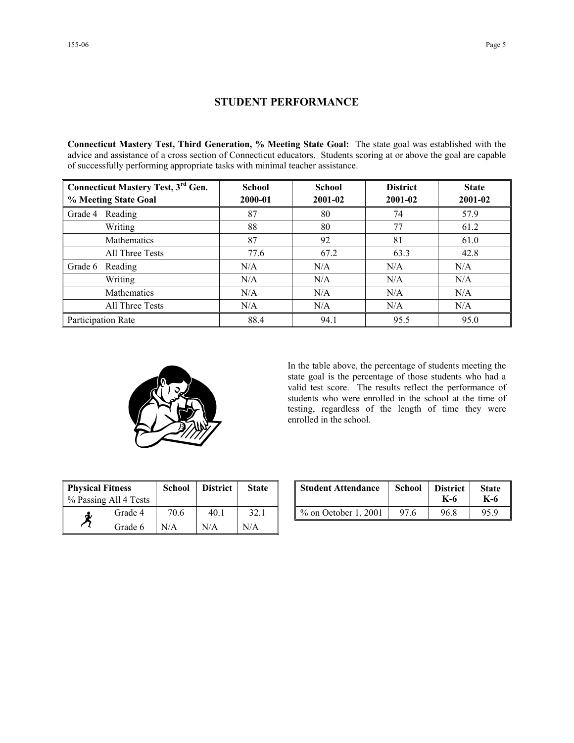# **STUDENT PERFORMANCE**

**Connecticut Mastery Test, Third Generation, % Meeting State Goal:** The state goal was established with the advice and assistance of a cross section of Connecticut educators. Students scoring at or above the goal are capable of successfully performing appropriate tasks with minimal teacher assistance.

| Connecticut Mastery Test, 3 <sup>rd</sup> Gen. | <b>School</b> | <b>School</b> | <b>District</b> | <b>State</b> |  |
|------------------------------------------------|---------------|---------------|-----------------|--------------|--|
| % Meeting State Goal                           | 2000-01       | 2001-02       | 2001-02         | 2001-02      |  |
| Reading<br>Grade 4                             | 87            | 80            | 74              | 57.9         |  |
| Writing                                        | 88            | 80            | 77              | 61.2         |  |
| Mathematics                                    | 87            | 92            | 81              | 61.0         |  |
| All Three Tests                                | 77.6          | 67.2          | 63.3            | 42.8         |  |
| Reading<br>Grade 6                             | N/A           | N/A           | N/A             | N/A          |  |
| Writing                                        | N/A           | N/A           | N/A             | N/A          |  |
| Mathematics                                    | N/A           | N/A           | N/A             | N/A          |  |
| All Three Tests                                | N/A           | N/A           | N/A             | N/A          |  |
| Participation Rate                             | 88.4          | 94.1          | 95.5            | 95.0         |  |



In the table above, the percentage of students meeting the state goal is the percentage of those students who had a valid test score. The results reflect the performance of students who were enrolled in the school at the time of testing, regardless of the length of time they were enrolled in the school.

| <b>Physical Fitness</b><br>% Passing All 4 Tests |         | <b>School</b> | <b>District</b> | <b>State</b> |
|--------------------------------------------------|---------|---------------|-----------------|--------------|
| đ                                                | Grade 4 | 70.6          | 40 1            | 32.1         |
|                                                  | Grade 6 | N/A           | N/A             | N/A          |

| ness<br>ll 4 Tests | School | <b>District</b> | State | <b>Student Attendance</b> | <b>School</b> | <b>District</b><br>K-6 | <b>State</b><br>K-6 |
|--------------------|--------|-----------------|-------|---------------------------|---------------|------------------------|---------------------|
| Grade 4            | 70.6   | 40.1            | 32.1  | $\%$ on October 1, 2001   | 97.6          | 96.8                   | 95.9                |